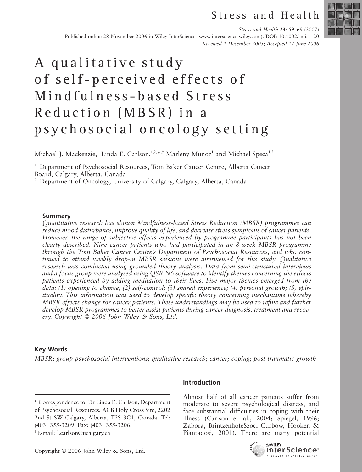# Stress and Health



*Stress and Health* **23**: 59–69 (2007) Published online 28 November 2006 in Wiley InterScience (www.interscience.wiley.com). **DOI:** 10.1002/smi.1120 *Received 1 December 2005; Accepted 17 June 2006*

# A qualitative study of self-perceived effects of Mindfulness-based Stress Reduction (MBSR) in a psychosocial oncology setting

Michael J. Mackenzie,<sup>1</sup> Linda E. Carlson,<sup>1,2,\*,†</sup> Marleny Munoz<sup>1</sup> and Michael Speca<sup>1,2</sup>

<sup>1</sup> Department of Psychosocial Resources, Tom Baker Cancer Centre, Alberta Cancer Board, Calgary, Alberta, Canada

<sup>2</sup> Department of Oncology, University of Calgary, Calgary, Alberta, Canada

#### **Summary**

*Quantitative research has shown Mindfulness-based Stress Reduction (MBSR) programmes can reduce mood disturbance, improve quality of life, and decrease stress symptoms of cancer patients. However, the range of subjective effects experienced by programme participants has not been clearly described. Nine cancer patients who had participated in an 8-week MBSR programme through the Tom Baker Cancer Centre's Department of Psychosocial Resources, and who continued to attend weekly drop-in MBSR sessions were interviewed for this study. Qualitative research was conducted using grounded theory analysis. Data from semi-structured interviews and a focus group were analysed using QSR N6 software to identify themes concerning the effects patients experienced by adding meditation to their lives. Five major themes emerged from the data: (1) opening to change; (2) self-control; (3) shared experience; (4) personal growth; (5) spirituality. This information was used to develop specific theory concerning mechanisms whereby MBSR effects change for cancer patients. These understandings may be used to refine and further develop MBSR programmes to better assist patients during cancer diagnosis, treatment and recovery. Copyright © 2006 John Wiley & Sons, Ltd.*

#### **Key Words**

*MBSR; group psychosocial interventions; qualitative research; cancer; coping; post-traumatic growth*

#### **Introduction**

Almost half of all cancer patients suffer from moderate to severe psychological distress, and face substantial difficulties in coping with their illness (Carlson et al., 2004; Spiegel, 1996; Zabora, BrintzenhofeSzoc, Curbow, Hooker, & Piantadosi, 2001). There are many potential



<sup>\*</sup>Correspondence to: Dr Linda E. Carlson, Department of Psychosocial Resources, ACB Holy Cross Site, 2202 2nd St SW Calgary, Alberta, T2S 3C1, Canada. Tel: (403) 355-3209. Fax: (403) 355-3206. †E-mail: l.carlson@ucalgary.ca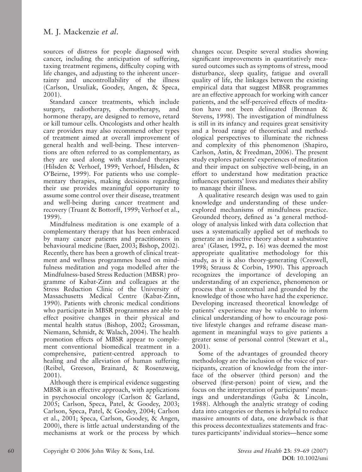sources of distress for people diagnosed with cancer, including the anticipation of suffering, taxing treatment regimens, difficulty coping with life changes, and adjusting to the inherent uncertainty and uncontrollability of the illness (Carlson, Ursuliak, Goodey, Angen, & Speca, 2001).

Standard cancer treatments, which include surgery, radiotherapy, chemotherapy, and hormone therapy, are designed to remove, retard or kill tumour cells. Oncologists and other health care providers may also recommend other types of treatment aimed at overall improvement of general health and well-being. These interventions are often referred to as complementary, as they are used along with standard therapies (Hilsden & Verhoef, 1999; Verhoef, Hilsden, & O'Beirne, 1999). For patients who use complementary therapies, making decisions regarding their use provides meaningful opportunity to assume some control over their disease, treatment and well-being during cancer treatment and recovery (Truant & Bottorff, 1999; Verhoef et al., 1999).

Mindfulness meditation is one example of a complementary therapy that has been embraced by many cancer patients and practitioners in behavioural medicine (Baer, 2003; Bishop, 2002). Recently, there has been a growth of clinical treatment and wellness programmes based on mindfulness meditation and yoga modelled after the Mindfulness-based Stress Reduction (MBSR) programme of Kabat-Zinn and colleagues at the Stress Reduction Clinic of the University of Massachusetts Medical Centre (Kabat-Zinn, 1990). Patients with chronic medical conditions who participate in MBSR programmes are able to effect positive changes in their physical and mental health status (Bishop, 2002; Grossman, Niemann, Schmidt, & Walach, 2004). The health promotion effects of MBSR appear to complement conventional biomedical treatment in a comprehensive, patient-centred approach to healing and the alleviation of human suffering (Reibel, Greeson, Brainard, & Rosenzweig, 2001).

Although there is empirical evidence suggesting MBSR is an effective approach, with applications in psychosocial oncology (Carlson & Garland, 2005; Carlson, Speca, Patel, & Goodey, 2003; Carlson, Speca, Patel, & Goodey, 2004; Carlson et al., 2001; Speca, Carlson, Goodey, & Angen, 2000), there is little actual understanding of the mechanisms at work or the process by which changes occur. Despite several studies showing significant improvements in quantitatively measured outcomes such as symptoms of stress, mood disturbance, sleep quality, fatigue and overall quality of life, the linkages between the existing empirical data that suggest MBSR programmes are an effective approach for working with cancer patients, and the self-perceived effects of meditation have not been delineated (Brennan & Stevens, 1998). The investigation of mindfulness is still in its infancy and requires great sensitivity and a broad range of theoretical and methodological perspectives to illuminate the richness and complexity of this phenomenon (Shapiro, Carlson, Astin, & Freedman, 2006). The present study explores patients' experiences of meditation and their impact on subjective well-being, in an effort to understand how meditation practice influences patients' lives and mediates their ability to manage their illness.

A qualitative research design was used to gain knowledge and understanding of these underexplored mechanisms of mindfulness practice. Grounded theory, defined as 'a general methodology of analysis linked with data collection that uses a systematically applied set of methods to generate an inductive theory about a substantive area' (Glaser, 1992, p. 16) was deemed the most appropriate qualitative methodology for this study, as it is also theory-generating (Creswell, 1998; Strauss & Corbin, 1990). This approach recognizes the importance of developing an understanding of an experience, phenomenon or process that is contextual and grounded by the knowledge of those who have had the experience. Developing increased theoretical knowledge of patients' experience may be valuable to inform clinical understanding of how to encourage positive lifestyle changes and reframe disease management in meaningful ways to give patients a greater sense of personal control (Stewart et al., 2001).

Some of the advantages of grounded theory methodology are the inclusion of the voice of participants, creation of knowledge from the interface of the observer (third person) and the observed (first-person) point of view, and the focus on the interpretation of participants' meanings and understandings (Guba & Lincoln, 1988). Although the analytic strategy of coding data into categories or themes is helpful to reduce massive amounts of data, one drawback is that this process decontextualizes statements and fractures participants' individual stories—hence some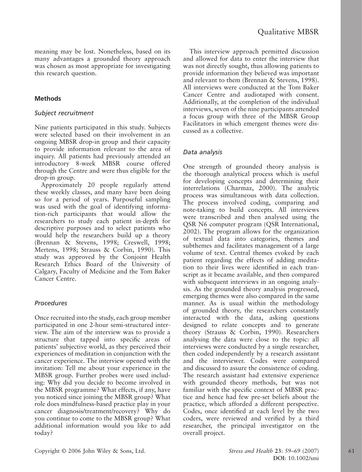meaning may be lost. Nonetheless, based on its many advantages a grounded theory approach was chosen as most appropriate for investigating this research question.

# **Methods**

#### *Subject recruitment*

Nine patients participated in this study. Subjects were selected based on their involvement in an ongoing MBSR drop-in group and their capacity to provide information relevant to the area of inquiry. All patients had previously attended an introductory 8-week MBSR course offered through the Centre and were thus eligible for the drop-in group.

Approximately 20 people regularly attend these weekly classes, and many have been doing so for a period of years. Purposeful sampling was used with the goal of identifying information-rich participants that would allow the researchers to study each patient in-depth for descriptive purposes and to select patients who would help the researchers build up a theory (Brennan & Stevens, 1998; Creswell, 1998; Mertens, 1998; Strauss & Corbin, 1990). This study was approved by the Conjoint Health Research Ethics Board of the University of Calgary, Faculty of Medicine and the Tom Baker Cancer Centre.

#### *Procedures*

Once recruited into the study, each group member participated in one 2-hour semi-structured interview. The aim of the interview was to provide a structure that tapped into specific areas of patients' subjective world, as they perceived their experiences of meditation in conjunction with the cancer experience. The interview opened with the invitation: Tell me about your experience in the MBSR group. Further probes were used including: Why did you decide to become involved in the MBSR programme? What effects, if any, have you noticed since joining the MBSR group? What role does mindfulness-based practice play in your cancer diagnosis/treatment/recovery? Why do you continue to come to the MBSR group? What additional information would you like to add today?

This interview approach permitted discussion and allowed for data to enter the interview that was not directly sought, thus allowing patients to provide information they believed was important and relevant to them (Brennan & Stevens, 1998). All interviews were conducted at the Tom Baker Cancer Centre and audiotaped with consent. Additionally, at the completion of the individual interviews, seven of the nine participants attended a focus group with three of the MBSR Group Facilitators in which emergent themes were discussed as a collective.

#### *Data analysis*

One strength of grounded theory analysis is the thorough analytical process which is useful for developing concepts and determining their interrelations (Charmaz, 2000). The analytic process was simultaneous with data collection. The process involved coding, comparing and note-taking to build concepts. All interviews were transcribed and then analysed using the QSR N6 computer program (QSR International, 2002). The program allows for the organization of textual data into categories, themes and subthemes and facilitates management of a large volume of text. Central themes evoked by each patient regarding the effects of adding meditation to their lives were identified in each transcript as it became available, and then compared with subsequent interviews in an ongoing analysis. As the grounded theory analysis progressed, emerging themes were also compared in the same manner. As is usual within the methodology of grounded theory, the researchers constantly interacted with the data, asking questions designed to relate concepts and to generate theory (Strauss & Corbin, 1990). Researchers analysing the data were close to the topic: all interviews were conducted by a single researcher, then coded independently by a research assistant and the interviewer. Codes were compared and discussed to assure the consistence of coding. The research assistant had extensive experience with grounded theory methods, but was not familiar with the specific context of MBSR practice and hence had few pre-set beliefs about the practice, which afforded a different perspective. Codes, once identified at each level by the two coders, were reviewed and verified by a third researcher, the principal investigator on the overall project.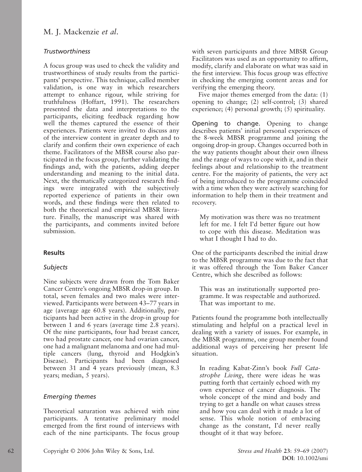#### *Trustworthiness*

A focus group was used to check the validity and trustworthiness of study results from the participants' perspective. This technique, called member validation, is one way in which researchers attempt to enhance rigour, while striving for truthfulness (Hoffart, 1991). The researchers presented the data and interpretations to the participants, eliciting feedback regarding how well the themes captured the essence of their experiences. Patients were invited to discuss any of the interview content in greater depth and to clarify and confirm their own experience of each theme. Facilitators of the MBSR course also participated in the focus group, further validating the findings and, with the patients, adding deeper understanding and meaning to the initial data. Next, the thematically categorized research findings were integrated with the subjectively reported experience of patients in their own words, and these findings were then related to both the theoretical and empirical MBSR literature. Finally, the manuscript was shared with the participants, and comments invited before submission.

#### **Results**

#### *Subjects*

Nine subjects were drawn from the Tom Baker Cancer Centre's ongoing MBSR drop-in group. In total, seven females and two males were interviewed. Participants were between 43–77 years in age (average age 60.8 years). Additionally, participants had been active in the drop-in group for between 1 and 6 years (average time 2.8 years). Of the nine participants, four had breast cancer, two had prostate cancer, one had ovarian cancer, one had a malignant melanoma and one had multiple cancers (lung, thyroid and Hodgkin's Disease). Participants had been diagnosed between 31 and 4 years previously (mean, 8.3 years; median, 5 years).

#### *Emerging themes*

Theoretical saturation was achieved with nine participants. A tentative preliminary model emerged from the first round of interviews with each of the nine participants. The focus group with seven participants and three MBSR Group Facilitators was used as an opportunity to affirm, modify, clarify and elaborate on what was said in the first interview. This focus group was effective in checking the emerging content areas and for verifying the emerging theory.

Five major themes emerged from the data: (1) opening to change; (2) self-control; (3) shared experience; (4) personal growth; (5) spirituality.

Opening to change. Opening to change describes patients' initial personal experiences of the 8-week MBSR programme and joining the ongoing drop-in group. Changes occurred both in the way patients thought about their own illness and the range of ways to cope with it, and in their feelings about and relationship to the treatment centre. For the majority of patients, the very act of being introduced to the programme coincided with a time when they were actively searching for information to help them in their treatment and recovery.

My motivation was there was no treatment left for me. I felt I'd better figure out how to cope with this disease. Meditation was what I thought I had to do.

One of the participants described the initial draw to the MBSR programme was due to the fact that it was offered through the Tom Baker Cancer Centre, which she described as follows:

This was an institutionally supported programme. It was respectable and authorized. That was important to me.

Patients found the programme both intellectually stimulating and helpful on a practical level in dealing with a variety of issues. For example, in the MBSR programme, one group member found additional ways of perceiving her present life situation.

In reading Kabat-Zinn's book *Full Catastrophe Living*, there were ideas he was putting forth that certainly echoed with my own experience of cancer diagnosis. The whole concept of the mind and body and trying to get a handle on what causes stress and how you can deal with it made a lot of sense. This whole notion of embracing change as the constant, I'd never really thought of it that way before.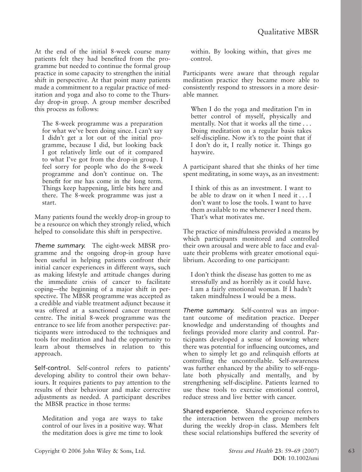At the end of the initial 8-week course many patients felt they had benefited from the programme but needed to continue the formal group practice in some capacity to strengthen the initial shift in perspective. At that point many patients made a commitment to a regular practice of meditation and yoga and also to come to the Thursday drop-in group. A group member described this process as follows:

The 8-week programme was a preparation for what we've been doing since. I can't say I didn't get a lot out of the initial programme, because I did, but looking back I got relatively little out of it compared to what I've got from the drop-in group. I feel sorry for people who do the 8-week programme and don't continue on. The benefit for me has come in the long term. Things keep happening, little bits here and there. The 8-week programme was just a start.

Many patients found the weekly drop-in group to be a resource on which they strongly relied, which helped to consolidate this shift in perspective.

*Theme summary.* The eight-week MBSR programme and the ongoing drop-in group have been useful in helping patients confront their initial cancer experiences in different ways, such as making lifestyle and attitude changes during the immediate crisis of cancer to facilitate coping—the beginning of a major shift in perspective. The MBSR programme was accepted as a credible and viable treatment adjunct because it was offered at a sanctioned cancer treatment centre. The initial 8-week programme was the entrance to see life from another perspective: participants were introduced to the techniques and tools for meditation and had the opportunity to learn about themselves in relation to this approach.

Self-control. Self-control refers to patients' developing ability to control their own behaviours. It requires patients to pay attention to the results of their behaviour and make corrective adjustments as needed. A participant describes the MBSR practice in those terms:

Meditation and yoga are ways to take control of our lives in a positive way. What the meditation does is give me time to look within. By looking within, that gives me control.

Participants were aware that through regular meditation practice they became more able to consistently respond to stressors in a more desirable manner.

When I do the yoga and meditation I'm in better control of myself, physically and mentally. Not that it works all the time . . . Doing meditation on a regular basis takes self-discipline. Now it's to the point that if I don't do it, I really notice it. Things go haywire.

A participant shared that she thinks of her time spent meditating, in some ways, as an investment:

I think of this as an investment. I want to be able to draw on it when I need it ...I don't want to lose the tools. I want to have them available to me whenever I need them. That's what motivates me.

The practice of mindfulness provided a means by which participants monitored and controlled their own arousal and were able to face and evaluate their problems with greater emotional equilibrium. According to one participant:

I don't think the disease has gotten to me as stressfully and as horribly as it could have. I am a fairly emotional woman. If I hadn't taken mindfulness I would be a mess.

*Theme summary.* Self-control was an important outcome of meditation practice. Deeper knowledge and understanding of thoughts and feelings provided more clarity and control. Participants developed a sense of knowing where there was potential for influencing outcomes, and when to simply let go and relinquish efforts at controlling the uncontrollable. Self-awareness was further enhanced by the ability to self-regulate both physically and mentally, and by strengthening self-discipline. Patients learned to use these tools to exercise emotional control, reduce stress and live better with cancer.

Shared experience. Shared experience refers to the interaction between the group members during the weekly drop-in class. Members felt these social relationships buffered the severity of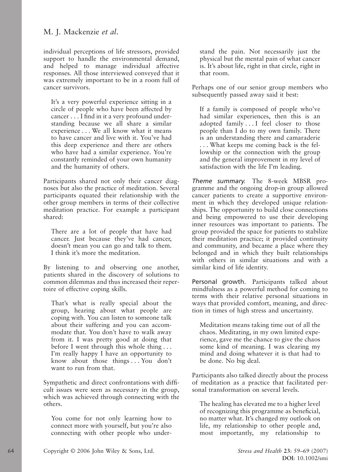individual perceptions of life stressors, provided support to handle the environmental demand, and helped to manage individual affective responses. All those interviewed conveyed that it was extremely important to be in a room full of cancer survivors.

It's a very powerful experience sitting in a circle of people who have been affected by cancer . . . I find in it a very profound understanding because we all share a similar experience . . . We all know what it means to have cancer and live with it. You've had this deep experience and there are others who have had a similar experience. You're constantly reminded of your own humanity and the humanity of others.

Participants shared not only their cancer diagnoses but also the practice of meditation. Several participants equated their relationship with the other group members in terms of their collective meditation practice. For example a participant shared:

There are a lot of people that have had cancer. Just because they've had cancer, doesn't mean you can go and talk to them. I think it's more the meditation.

By listening to and observing one another, patients shared in the discovery of solutions to common dilemmas and thus increased their repertoire of effective coping skills.

That's what is really special about the group, hearing about what people are coping with. You can listen to someone talk about their suffering and you can accommodate that. You don't have to walk away from it. I was pretty good at doing that before I went through this whole thing . . . I'm really happy I have an opportunity to know about those things . . . You don't want to run from that.

Sympathetic and direct confrontations with difficult issues were seen as necessary in the group, which was achieved through connecting with the others.

You come for not only learning how to connect more with yourself, but you're also connecting with other people who understand the pain. Not necessarily just the physical but the mental pain of what cancer is. It's about life, right in that circle, right in that room.

Perhaps one of our senior group members who subsequently passed away said it best:

If a family is composed of people who've had similar experiences, then this is an adopted family . . . I feel closer to those people than I do to my own family. There is an understanding there and camaraderie ...What keeps me coming back is the fellowship or the connection with the group and the general improvement in my level of satisfaction with the life I'm leading.

*Theme summary.* The 8-week MBSR programme and the ongoing drop-in group allowed cancer patients to create a supportive environment in which they developed unique relationships. The opportunity to build close connections and being empowered to use their developing inner resources was important to patients. The group provided the space for patients to stabilize their meditation practice; it provided continuity and community, and became a place where they belonged and in which they built relationships with others in similar situations and with a similar kind of life identity.

Personal growth. Participants talked about mindfulness as a powerful method for coming to terms with their relative personal situations in ways that provided comfort, meaning, and direction in times of high stress and uncertainty.

Meditation means taking time out of all the chaos. Meditating, in my own limited experience, gave me the chance to give the chaos some kind of meaning. I was clearing my mind and doing whatever it is that had to be done. No big deal.

Participants also talked directly about the process of meditation as a practice that facilitated personal transformation on several levels.

The healing has elevated me to a higher level of recognizing this programme as beneficial, no matter what. It's changed my outlook on life, my relationship to other people and, most importantly, my relationship to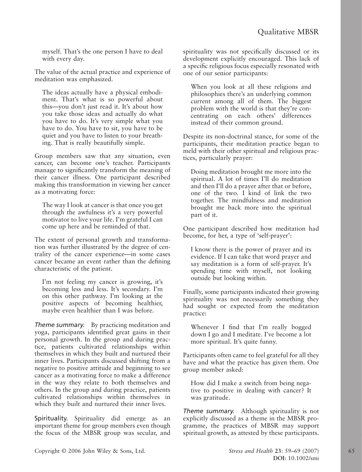myself. That's the one person I have to deal with every day.

The value of the actual practice and experience of meditation was emphasized.

The ideas actually have a physical embodiment. That's what is so powerful about this—you don't just read it. It's about how you take those ideas and actually do what you have to do. It's very simple what you have to do. You have to sit, you have to be quiet and you have to listen to your breathing. That is really beautifully simple.

Group members saw that any situation, even cancer, can become one's teacher. Participants manage to significantly transform the meaning of their cancer illness. One participant described making this transformation in viewing her cancer as a motivating force:

The way I look at cancer is that once you get through the awfulness it's a very powerful motivator to live your life. I'm grateful I can come up here and be reminded of that.

The extent of personal growth and transformation was further illustrated by the degree of centrality of the cancer experience—in some cases cancer became an event rather than the defining characteristic of the patient.

I'm not feeling my cancer is growing, it's becoming less and less. It's secondary. I'm on this other pathway. I'm looking at the positive aspects of becoming healthier, maybe even healthier than I was before.

*Theme summary.* By practicing meditation and yoga, participants identified great gains in their personal growth. In the group and during practice, patients cultivated relationships within themselves in which they built and nurtured their inner lives. Participants discussed shifting from a negative to positive attitude and beginning to see cancer as a motivating force to make a difference in the way they relate to both themselves and others. In the group and during practice, patients cultivated relationships within themselves in which they built and nurtured their inner lives.

Spirituality. Spirituality did emerge as an important theme for group members even though the focus of the MBSR group was secular, and spirituality was not specifically discussed or its development explicitly encouraged. This lack of a specific religious focus especially resonated with one of our senior participants:

When you look at all these religions and philosophies there's an underlying common current among all of them. The biggest problem with the world is that they're concentrating on each others' differences instead of their common ground.

Despite its non-doctrinal stance, for some of the participants, their meditation practice began to meld with their other spiritual and religious practices, particularly prayer:

Doing meditation brought me more into the spiritual. A lot of times I'll do meditation and then I'll do a prayer after that or before, one of the two. I kind of link the two together. The mindfulness and meditation brought me back more into the spiritual part of it.

One participant described how meditation had become, for her, a type of 'self-prayer':

I know there is the power of prayer and its evidence. If I can take that word prayer and say meditation is a form of self-prayer. It's spending time with myself, not looking outside but looking within.

Finally, some participants indicated their growing spirituality was not necessarily something they had sought or expected from the meditation practice:

Whenever I find that I'm really bogged down I go and I meditate. I've become a lot more spiritual. It's quite funny.

Participants often came to feel grateful for all they have and what the practice has given them. One group member asked:

How did I make a switch from being negative to positive in dealing with cancer? It was gratitude.

*Theme summary.* Although spirituality is not explicitly discussed as a theme in the MBSR programme, the practices of MBSR may support spiritual growth, as attested by these participants.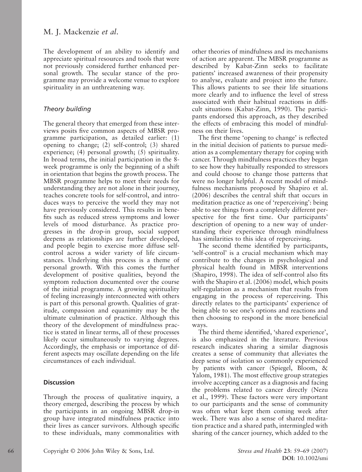The development of an ability to identify and appreciate spiritual resources and tools that were not previously considered further enhanced personal growth. The secular stance of the programme may provide a welcome venue to explore spirituality in an unthreatening way.

### *Theory building*

The general theory that emerged from these interviews posits five common aspects of MBSR programme participation, as detailed earlier: (1) opening to change; (2) self-control; (3) shared experience; (4) personal growth; (5) spirituality. In broad terms, the initial participation in the 8 week programme is only the beginning of a shift in orientation that begins the growth process. The MBSR programme helps to meet their needs for understanding they are not alone in their journey, teaches concrete tools for self-control, and introduces ways to perceive the world they may not have previously considered. This results in benefits such as reduced stress symptoms and lower levels of mood disturbance. As practice progresses in the drop-in group, social support deepens as relationships are further developed, and people begin to exercise more diffuse selfcontrol across a wider variety of life circumstances. Underlying this process is a theme of personal growth. With this comes the further development of positive qualities, beyond the symptom reduction documented over the course of the initial programme. A growing spirituality of feeling increasingly interconnected with others is part of this personal growth. Qualities of gratitude, compassion and equanimity may be the ultimate culmination of practice. Although this theory of the development of mindfulness practice is stated in linear terms, all of these processes likely occur simultaneously to varying degrees. Accordingly, the emphasis or importance of different aspects may oscillate depending on the life circumstances of each individual.

#### **Discussion**

Through the process of qualitative inquiry, a theory emerged, describing the process by which the participants in an ongoing MBSR drop-in group have integrated mindfulness practice into their lives as cancer survivors. Although specific to these individuals, many commonalities with other theories of mindfulness and its mechanisms of action are apparent. The MBSR programme as described by Kabat-Zinn seeks to facilitate patients' increased awareness of their propensity to analyse, evaluate and project into the future. This allows patients to see their life situations more clearly and to influence the level of stress associated with their habitual reactions in difficult situations (Kabat-Zinn, 1990). The participants endorsed this approach, as they described the effects of embracing this model of mindfulness on their lives.

The first theme 'opening to change' is reflected in the initial decision of patients to pursue mediation as a complementary therapy for coping with cancer. Through mindfulness practices they began to see how they habitually responded to stressors and could choose to change those patterns that were no longer helpful. A recent model of mindfulness mechanisms proposed by Shapiro et al. (2006) describes the central shift that occurs in meditation practice as one of 'reperceiving': being able to see things from a completely different perspective for the first time. Our participants' description of opening to a new way of understanding their experience through mindfulness has similarities to this idea of reperceiving.

The second theme identified by participants, 'self-control' is a crucial mechanism which may contribute to the changes in psychological and physical health found in MBSR interventions (Shapiro, 1998). The idea of self-control also fits with the Shapiro et al. (2006) model, which posits self-regulation as a mechanism that results from engaging in the process of reperceiving. This directly relates to the participants' experience of being able to see one's options and reactions and then choosing to respond in the more beneficial ways.

The third theme identified, 'shared experience', is also emphasized in the literature. Previous research indicates sharing a similar diagnosis creates a sense of community that alleviates the deep sense of isolation so commonly experienced by patients with cancer (Spiegel, Bloom, & Yalom, 1981). The most effective group strategies involve accepting cancer as a diagnosis and facing the problems related to cancer directly (Nezu et al., 1999). These factors were very important to our participants and the sense of community was often what kept them coming week after week. There was also a sense of shared meditation practice and a shared path, intermingled with sharing of the cancer journey, which added to the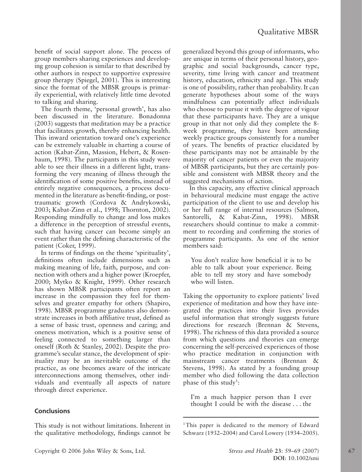benefit of social support alone. The process of group members sharing experiences and developing group cohesion is similar to that described by other authors in respect to supportive expressive group therapy (Spiegel, 2001). This is interesting since the format of the MBSR groups is primarily experiential, with relatively little time devoted to talking and sharing.

The fourth theme, 'personal growth', has also been discussed in the literature. Bonadonna (2003) suggests that meditation may be a practice that facilitates growth, thereby enhancing health. This inward orientation toward one's experience can be extremely valuable in charting a course of action (Kabat-Zinn, Massion, Hebert, & Rosenbaum, 1998). The participants in this study were able to see their illness in a different light, transforming the very meaning of illness through the identification of some positive benefits, instead of entirely negative consequences, a process documented in the literature as benefit-finding, or posttraumatic growth (Cordova & Andrykowski, 2003; Kabat-Zinn et al., 1998; Thornton, 2002). Responding mindfully to change and loss makes a difference in the perception of stressful events, such that having cancer can become simply an event rather than the defining characteristic of the patient (Coker, 1999).

In terms of findings on the theme 'spirituality', definitions often include dimensions such as making meaning of life, faith, purpose, and connection with others and a higher power (Kroepfer, 2000; Mytko & Knight, 1999). Other research has shown MBSR participants often report an increase in the compassion they feel for themselves and greater empathy for others (Shapiro, 1998). MBSR programme graduates also demonstrate increases in both affiliative trust, defined as a sense of basic trust, openness and caring; and oneness motivation, which is a positive sense of feeling connected to something larger than oneself (Roth & Stanley, 2002). Despite the programme's secular stance, the development of spirituality may be an inevitable outcome of the practice, as one becomes aware of the intricate interconnections among themselves, other individuals and eventually all aspects of nature through direct experience.

# **Conclusions**

This study is not without limitations. Inherent in the qualitative methodology, findings cannot be generalized beyond this group of informants, who are unique in terms of their personal history, geographic and social backgrounds, cancer type, severity, time living with cancer and treatment history, education, ethnicity and age. This study is one of possibility, rather than probability. It can generate hypotheses about some of the ways mindfulness can potentially affect individuals who choose to pursue it with the degree of vigour that these participants have. They are a unique group in that not only did they complete the 8 week programme, they have been attending weekly practice groups consistently for a number of years. The benefits of practice elucidated by these participants may not be attainable by the majority of cancer patients or even the majority of MBSR participants, but they are certainly possible and consistent with MBSR theory and the suggested mechanisms of action.

In this capacity, any effective clinical approach in behavioural medicine must engage the active participation of the client to use and develop his or her full range of internal resources (Salmon, Santorelli, & Kabat-Zinn, 1998). MBSR researchers should continue to make a commitment to recording and confirming the stories of programme participants. As one of the senior members said:

You don't realize how beneficial it is to be able to talk about your experience. Being able to tell my story and have somebody who will listen.

Taking the opportunity to explore patients' lived experience of meditation and how they have integrated the practices into their lives provides useful information that strongly suggests future directions for research (Brennan & Stevens, 1998). The richness of this data provided a source from which questions and theories can emerge concerning the self-perceived experiences of those who practice meditation in conjunction with mainstream cancer treatments (Brennan & Stevens, 1998). As stated by a founding group member who died following the data collection phase of this study<sup>1</sup>:

I'm a much happier person than I ever thought I could be with the disease . . . the

<sup>1</sup>This paper is dedicated to the memory of Edward Schwarz (1932–2004) and Carol Lowery (1934–2005).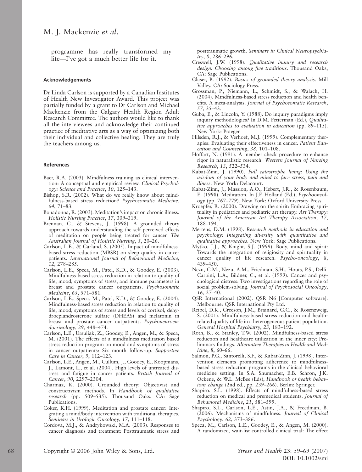programme has really transformed my life—I've got a much better life for it.

#### **Acknowledgements**

Dr Linda Carlson is supported by a Canadian Institutes of Health New Investigator Award. This project was partially funded by a grant to Dr Carlson and Michael Mackenzie from the Calgary Health Region Adult Research Committee. The authors would like to thank all the interviewees and acknowledge their continued practice of meditative arts as a way of optimizing both their individual and collective healing. They are truly the teachers among us.

#### **References**

- Baer, R.A. (2003). Mindfulness training as clinical intervention: A conceptual and empirical review. *Clinical Psychology: Science and Practice*, *10*, 125–143.
- Bishop, S.R. (2002). What do we really know about mindfulness-based stress reduction? *Psychosomatic Medicine*, *64*, 71–83.
- Bonadonna, R. (2003). Meditation's impact on chronic illness. *Holistic Nursing Practice*, *17*, 309–319.
- Brennan, C., & Stevens, J. (1998). A grounded theory approach towards understanding the self perceived effects of meditation on people being treated for cancer. *The Australian Journal of Holistic Nursing*, *5*, 20–26.
- Carlson, L.E., & Garland, S. (2005). Impact of mindfulnessbased stress reduction (MBSR) on sleep quality in cancer patients. *International Journal of Behavioural Medicine*, *12*, 278–285.
- Carlson, L.E., Speca, M., Patel, K.D., & Goodey, E. (2003). Mindfulness-based stress reduction in relation to quality of life, mood, symptoms of stress, and immune parameters in breast and prostate cancer outpatients. *Psychosomatic Medicine*, *65*, 571–581.
- Carlson, L.E., Speca, M., Patel, K.D., & Goodey, E. (2004). Mindfulness-based stress reduction in relation to quality of life, mood, symptoms of stress and levels of cortisol, dehydroepiandrosterone sulfate (DHEAS) and melatonin in breast and prostate cancer outpatients. *Psychoneuroendocrinology*, *29*, 448–474.
- Carlson, L.E., Ursuliak, Z., Goodey, E., Angen, M., & Speca, M. (2001). The effects of a mindfulness meditation based stress reduction program on mood and symptoms of stress in cancer outpatients: Six month follow-up. *Supportive Care in Cancer*, *9*, 112–123.
- Carlson, L.E., Angen, M., Cullum, J., Goodey, E., Koopmans, J., Lamont, L., et al. (2004). High levels of untreated distress and fatigue in cancer patients. *British Journal of Cancer*, *90*, 2297–2304.
- Charmaz, K. (2000). Grounded theory: Objectivist and constructivism methods. In *Handbook of qualitative research* (pp. 509–535). Thousand Oaks, CA: Sage Publications.
- Coker, K.H. (1999). Meditation and prostate cancer: Integrating a mind/body intervention with traditional therapies. *Seminars in Urologic Oncology*, *17*, 111–118.
- Cordova, M.J., & Andrykowski, M.A. (2003). Responses to cancer diagnosis and treatment: Posttraumatic stress and

posttraumatic growth. *Seminars in Clinical Neuropsychiatry*, *8*, 286–296.

- Creswell, J.W. (1998). *Qualitative inquiry and research design: Choosing among five traditions*. Thousand Oaks, CA: Sage Publications.
- Glaser, B. (1992). *Basics of grounded theory analysis*. Mill Valley, CA: Sociology Press.
- Grossman, P., Niemann, L., Schmidt, S., & Walach, H. (2004). Mindfulness-based stress reduction and health benefits. A meta-analysis. *Journal of Psychosomatic Research*, *57*, 35–43.
- Guba, E., & Lincoln, Y. (1988). Do inquiry paradigms imply inquiry methodologies? In D.M. Fetterman (Ed.), *Qualitative approaches to evaluation in education* (pp. 89–115). New York: Praeger.
- Hilsden, R.J., & Verhoef, M.J. (1999). Complementary therapies: Evaluating their effectiveness in cancer. *Patient Education and Counseling*, *38*, 101–108.
- Hoffart, N. (1991). A member check procedure to enhance rigor in naturalistic research. *Western Journal of Nursing Research*, *13*, 522–534.
- Kabat-Zinn, J. (1990). *Full catastrophe living: Using the wisdom of your body and mind to face stress, pain and illness*. New York: Delacourt.
- Kabat-Zinn, J., Massion, A.O., Hebert, J.R., & Rosenbaum, E. (1998). Meditation. In J.F. Holland (Ed.), *Psychooncology* (pp. 767–779). New York: Oxford University Press.
- Kroepfer, R. (2000). Drawing on the spirit: Embracing spirituality in pediatrics and pediatric art therapy. *Art Therapy: Journal of the American Art Therapy Association*, *17*, 188–194.
- Mertens, D.M. (1998). *Research methods in education and psychology: Integrating diversity with quantitative and qualitative approaches*. New York: Sage Publications.
- Mytko, J.J., & Knight, S.J. (1999). Body, mind and spirit: Towards the integration of religiosity and spirituality in cancer quality of life research. *Psycho-oncology*, *8*, 439–450.
- Nezu, C.M., Nezu, A.M., Friedman, S.H., Houts, P.S., Delli-Carpini, L.A., Bildner, C., et al. (1999). Cancer and psychological distress: Two investigations regarding the role of social problem-solving. *Journal of Psychosocial Oncology*, *16*, 27–40.
- QSR International (2002). QSR N6 [Computer software]. Melbourne: QSR International Pty Ltd.
- Reibel, D.K., Greeson, J.M., Brainard, G.C., & Rosenzweig, S. (2001). Mindfulness-based stress reduction and healthrelated quality of life in a heterogeneous patient population. *General Hospital Psychiatry*, *23*, 183–192.
- Roth, B., & Stanley, T.W. (2002). Mindfulness-based stress reduction and healthcare utilization in the inner city: Preliminary findings. *Alternative Therapies in Health and Medicine*, *8*, 60–66.
- Salmon, P.G., Santorelli, S.F., & Kabat-Zinn, J. (1998). Intervention elements promoting adherence to mindfulnessbased stress reduction programs in the clinical behavioral medicine setting. In S.A. Shumacher, E.B. Schron, J.K. Ockene, & W.L. McBee (Eds), *Handbook of health behaviour change* (2nd ed., pp. 239–266). Berlin: Springer.
- Shapiro, S.L. (1998). Effects of mindfulness-based stress reduction on medical and premedical students. *Journal of Behavioral Medicine*, *21*, 581–599.
- Shapiro, S.L., Carlson, L.E., Astin, J.A., & Freedman, B. (2006). Mechanisms of mindfulness. *Journal of Clinical Psychology*, *62*, 373–386.
- Speca, M., Carlson, L.E., Goodey, E., & Angen, M. (2000). A randomized, wait-list controlled clinical trial: The effect